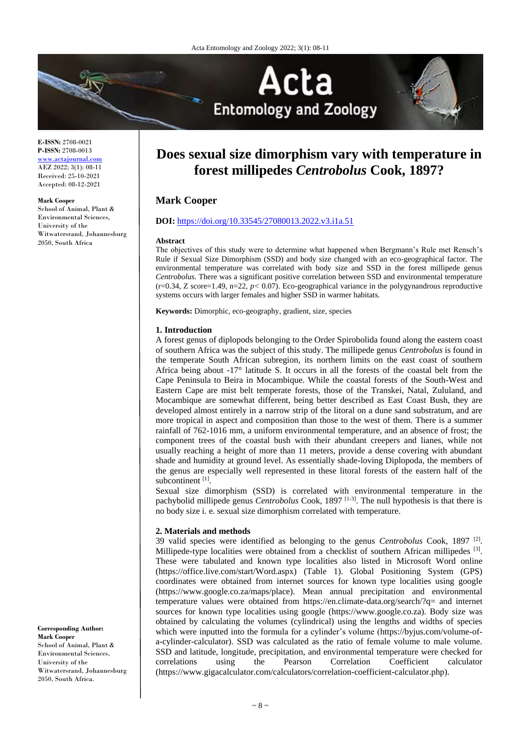

**E-ISSN:** 2708-0021 **P-ISSN:** 2708-0013 <www.actajournal.com> AEZ 2022; 3(1): 08-11 Received: 25-10-2021 Accepted: 08-12-2021

#### **Mark Cooper**

School of Animal, Plant & Environmental Sciences, University of the Witwatersrand, Johannesburg 2050, South Africa

# **Does sexual size dimorphism vary with temperature in forest millipedes** *Centrobolus* **Cook, 1897?**

# **Mark Cooper**

## **DOI:** <https://doi.org/10.33545/27080013.2022.v3.i1a.51>

#### **Abstract**

The objectives of this study were to determine what happened when Bergmann's Rule met Rensch's Rule if Sexual Size Dimorphism (SSD) and body size changed with an eco-geographical factor*.* The environmental temperature was correlated with body size and SSD in the forest millipede genus *Centrobolus*. There was a significant positive correlation between SSD and environmental temperature  $(r=0.34, Z \text{ score}=1.49, n=22, p<0.07)$ . Eco-geographical variance in the polygynandrous reproductive systems occurs with larger females and higher SSD in warmer habitats.

**Keywords:** Dimorphic, eco-geography, gradient, size, species

#### **1. Introduction**

A forest genus of diplopods belonging to the Order Spirobolida found along the eastern coast of southern Africa was the subject of this study. The millipede genus *Centrobolus* is found in the temperate South African subregion, its northern limits on the east coast of southern Africa being about -17° latitude S. It occurs in all the forests of the coastal belt from the Cape Peninsula to Beira in Mocambique. While the coastal forests of the South-West and Eastern Cape are mist belt temperate forests, those of the Transkei, Natal, Zululand, and Mocambique are somewhat different, being better described as East Coast Bush, they are developed almost entirely in a narrow strip of the litoral on a dune sand substratum, and are more tropical in aspect and composition than those to the west of them. There is a summer rainfall of 762-1016 mm, a uniform environmental temperature, and an absence of frost; the component trees of the coastal bush with their abundant creepers and lianes, while not usually reaching a height of more than 11 meters, provide a dense covering with abundant shade and humidity at ground level. As essentially shade-loving Diplopoda, the members of the genus are especially well represented in these litoral forests of the eastern half of the subcontinent<sup>[1]</sup>.

Sexual size dimorphism (SSD) is correlated with environmental temperature in the pachybolid millipede genus *Centrobolus* Cook, 1897<sup>[1-3]</sup>. The null hypothesis is that there is no body size i. e. sexual size dimorphism correlated with temperature.

#### **2. Materials and methods**

39 valid species were identified as belonging to the genus *Centrobolus* Cook, 1897 [2] . Millipede-type localities were obtained from a checklist of southern African millipedes [3]. These were tabulated and known type localities also listed in Microsoft Word online (https://office.live.com/start/Word.aspx) (Table 1). Global Positioning System (GPS) coordinates were obtained from internet sources for known type localities using google (https://www.google.co.za/maps/place). Mean annual precipitation and environmental temperature values were obtained from https://en.climate-data.org/search/?q= and internet sources for known type localities using google (https://www.google.co.za). Body size was obtained by calculating the volumes (cylindrical) using the lengths and widths of species which were inputted into the formula for a cylinder's volume (https://byjus.com/volume-ofa-cylinder-calculator). SSD was calculated as the ratio of female volume to male volume. SSD and latitude, longitude, precipitation, and environmental temperature were checked for correlations using the Pearson Correlation Coefficient calculator (https://www.gigacalculator.com/calculators/correlation-coefficient-calculator.php).

**Corresponding Author: Mark Cooper** School of Animal, Plant & Environmental Sciences, University of the Witwatersrand, Johannesburg 2050, South Africa.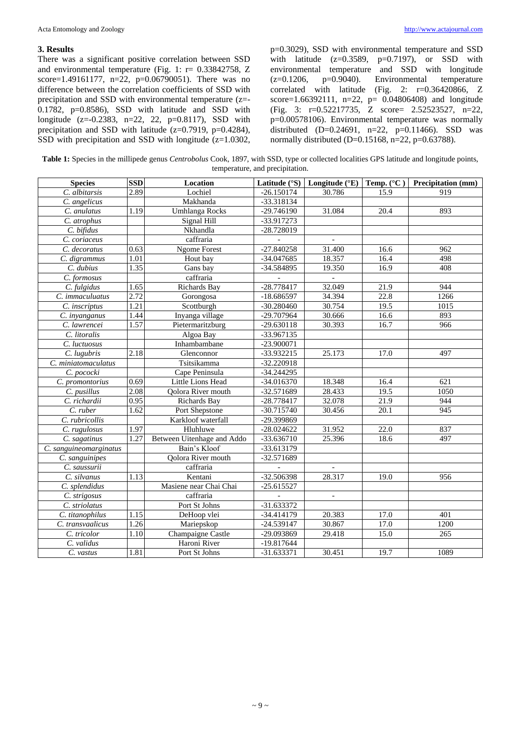## **3. Results**

There was a significant positive correlation between SSD and environmental temperature (Fig. 1: r= 0.33842758, Z score=1.49161177, n=22, p=0.06790051). There was no difference between the correlation coefficients of SSD with precipitation and SSD with environmental temperature (z=- 0.1782, p=0.8586), SSD with latitude and SSD with longitude  $(z=0.2383, n=22, 22, p=0.8117)$ , SSD with precipitation and SSD with latitude (z=0.7919, p=0.4284), SSD with precipitation and SSD with longitude  $(z=1.0302,$ 

p=0.3029), SSD with environmental temperature and SSD with latitude  $(z=0.3589, p=0.7197)$ , or SSD with environmental temperature and SSD with longitude (z=0.1206, p=0.9040). Environmental temperature  $(z=0.1206, p=0.9040)$ . Environmental correlated with latitude (Fig. 2: r=0.36420866, Z score=1.66392111, n=22, p= 0.04806408) and longitude (Fig. 3: r=0.52217735, Z score= 2.52523527, n=22, p=0.00578106). Environmental temperature was normally distributed  $(D=0.24691, n=22, p=0.11466)$ . SSD was normally distributed (D=0.15168, n=22, p=0.63788).

**Table 1:** Species in the millipede genus *Centrobolus* Cook, 1897, with SSD, type or collected localities GPS latitude and longitude points, temperature, and precipitation.

| <b>Species</b>             | <b>SSD</b> | Location                   | Latitude (°S) | Longitude (°E) | Temp. (°C) | Precipitation (mm) |
|----------------------------|------------|----------------------------|---------------|----------------|------------|--------------------|
| C. albitarsis              | 2.89       | Lochiel                    | $-26.150174$  | 30.786         | 15.9       | 919                |
| C. angelicus               |            | Makhanda                   | $-33.318134$  |                |            |                    |
| C. anulatus                | 1.19       | Umhlanga Rocks             | -29.746190    | 31.084         | 20.4       | 893                |
| C. atrophus                |            | Signal Hill                | -33.917273    |                |            |                    |
| C. bifidus                 |            | Nkhandla                   | -28.728019    |                |            |                    |
| C. coriaceus               |            | caffraria                  |               |                |            |                    |
| $\overline{C}$ . decoratus | 0.63       | <b>Ngome Forest</b>        | $-27.840258$  | 31.400         | 16.6       | 962                |
| C. digrammus               | 1.01       | Hout bay                   | -34.047685    | 18.357         | 16.4       | 498                |
| C. dubius                  | 1.35       | Gans bay                   | -34.584895    | 19.350         | 16.9       | 408                |
| C. formosus                |            | caffraria                  |               |                |            |                    |
| C. fulgidus                | 1.65       | Richards Bay               | $-28.778417$  | 32.049         | 21.9       | 944                |
| C. immaculuatus            | 2.72       | Gorongosa                  | $-18.686597$  | 34.394         | 22.8       | 1266               |
| C. inscriptus              | 1.21       | Scottburgh                 | $-30.280460$  | 30.754         | 19.5       | 1015               |
| C. inyanganus              | 1.44       | Inyanga village            | -29.707964    | 30.666         | 16.6       | 893                |
| C. lawrencei               | 1.57       | Pietermaritzburg           | $-29.630118$  | 30.393         | 16.7       | 966                |
| $\overline{C}$ . litoralis |            | Algoa Bay                  | -33.967135    |                |            |                    |
| C. luctuosus               |            | Inhambambane               | -23.900071    |                |            |                    |
| C. lugubris                | 2.18       | Glenconnor                 | -33.932215    | 25.173         | 17.0       | 497                |
| C. miniatomaculatus        |            | Tsitsikamma                | -32.220918    |                |            |                    |
| C. pococki                 |            | Cape Peninsula             | $-34.244295$  |                |            |                    |
| C. promontorius            | 0.69       | Little Lions Head          | $-34.016370$  | 18.348         | 16.4       | 621                |
| C. pusillus                | 2.08       | Qolora River mouth         | -32.571689    | 28.433         | 19.5       | 1050               |
| C. richardii               | 0.95       | Richards Bay               | -28.778417    | 32.078         | 21.9       | 944                |
| C. ruber                   | 1.62       | Port Shepstone             | $-30.715740$  | 30.456         | 20.1       | 945                |
| C. rubricollis             |            | Karkloof waterfall         | -29.399869    |                |            |                    |
| C. rugulosus               | 1.97       | Hluhluwe                   | $-28.024622$  | 31.952         | 22.0       | 837                |
| C. sagatinus               | 1.27       | Between Uitenhage and Addo | -33.636710    | 25.396         | 18.6       | 497                |
| C. sanguineomarginatus     |            | Bain's Kloof               | -33.613179    |                |            |                    |
| C. sanguinipes             |            | Qolora River mouth         | -32.571689    |                |            |                    |
| C. saussurii               |            | caffraria                  |               |                |            |                    |
| C. silvanus                | 1.13       | Kentani                    | -32.506398    | 28.317         | 19.0       | 956                |
| C. splendidus              |            | Masiene near Chai Chai     | $-25.615527$  |                |            |                    |
| C. strigosus               |            | caffraria                  |               |                |            |                    |
| C. striolatus              |            | Port St Johns              | $-31.633372$  |                |            |                    |
| C. titanophilus            | 1.15       | DeHoop vlei                | -34.414179    | 20.383         | 17.0       | 401                |
| C. transvaalicus           | 1.26       | Mariepskop                 | $-24.539147$  | 30.867         | 17.0       | 1200               |
| C. tricolor                | 1.10       | Champaigne Castle          | -29.093869    | 29.418         | 15.0       | 265                |
| C. validus                 |            | Haroni River               | -19.817644    |                |            |                    |
| C. vastus                  | 1.81       | Port St Johns              | $-31.633371$  | 30.451         | 19.7       | 1089               |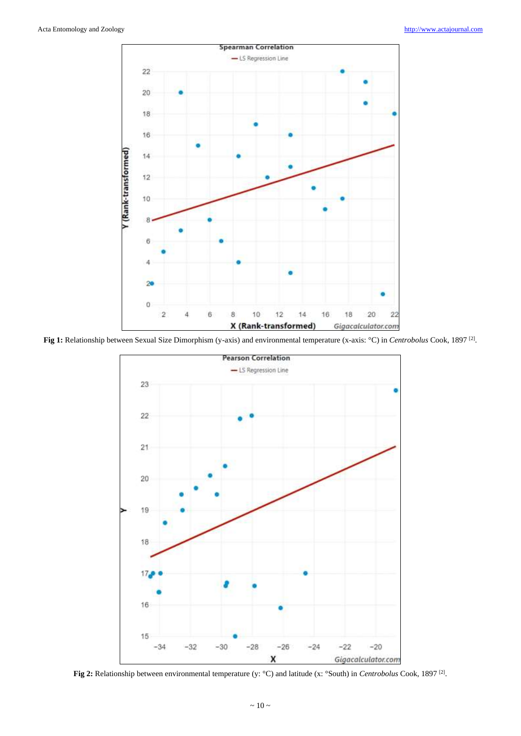

**Fig 1:** Relationship between Sexual Size Dimorphism (y-axis) and environmental temperature (x-axis: °C) in *Centrobolus* Cook, 1897<sup>[2]</sup>.



**Fig 2:** Relationship between environmental temperature (y: °C) and latitude (x: °South) in *Centrobolus* Cook, 1897<sup>[2]</sup>.